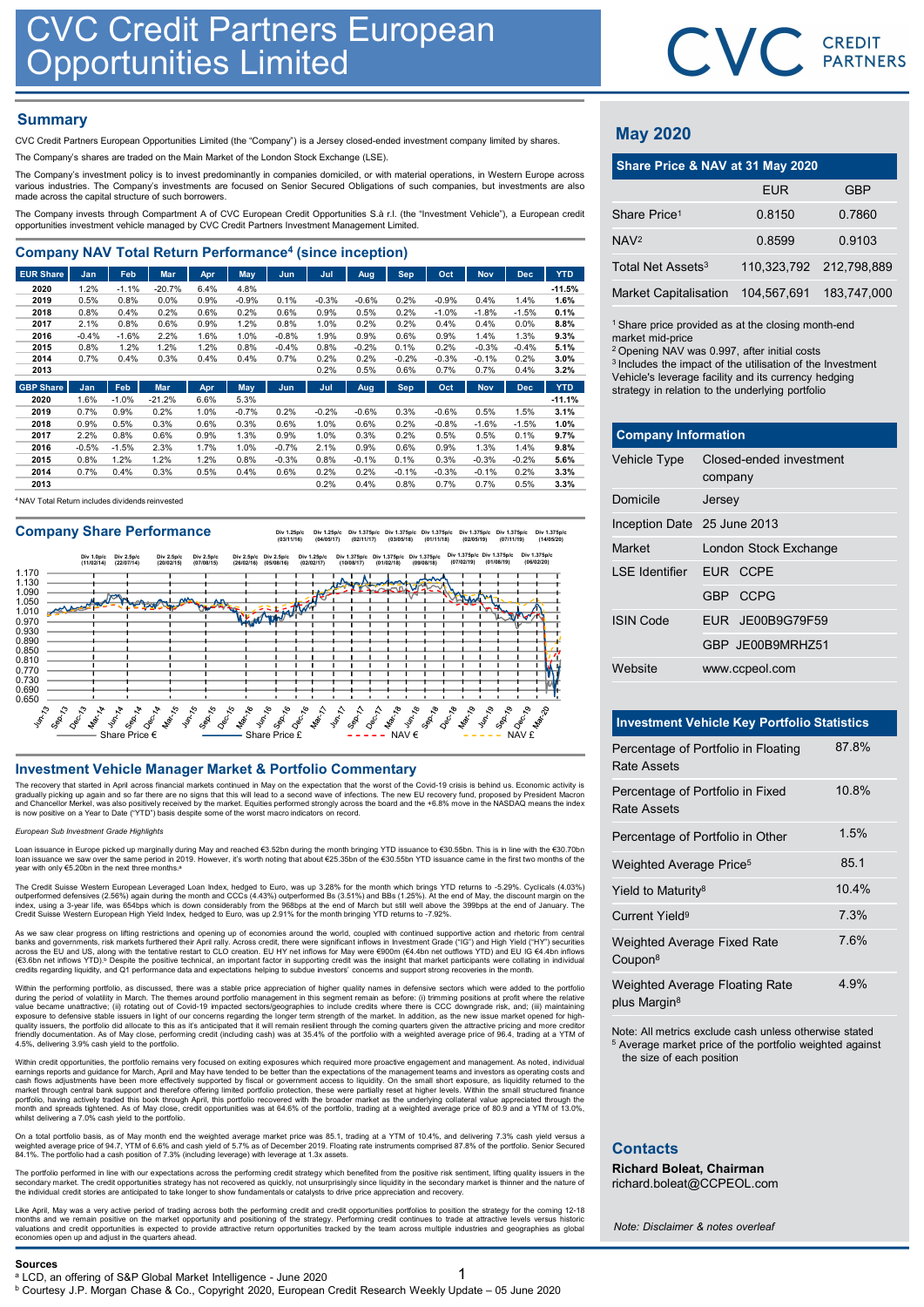## **Summary**

|                                                                                                                                                                                                                                         | <b>CVC Credit Partners European</b><br><b>Opportunities Limited</b> |                 |                  |              |                 |                        |                |                 |                 |                 |                    |                    |                  |                                                                                                                         | <b>CVC</b> CRI |              |
|-----------------------------------------------------------------------------------------------------------------------------------------------------------------------------------------------------------------------------------------|---------------------------------------------------------------------|-----------------|------------------|--------------|-----------------|------------------------|----------------|-----------------|-----------------|-----------------|--------------------|--------------------|------------------|-------------------------------------------------------------------------------------------------------------------------|----------------|--------------|
| <b>Summary</b>                                                                                                                                                                                                                          |                                                                     |                 |                  |              |                 |                        |                |                 |                 |                 |                    |                    |                  | <b>May 2020</b>                                                                                                         |                |              |
| CVC Credit Partners European Opportunities Limited (the "Company") is a Jersey closed-ended investment company limited by shares.<br>The Company's shares are traded on the Main Market of the London Stock Exchange (LSE).             |                                                                     |                 |                  |              |                 |                        |                |                 |                 |                 |                    |                    |                  |                                                                                                                         |                |              |
| The Company's investment policy is to invest predominantly in companies domiciled, or with material operations, in Western Europe across                                                                                                |                                                                     |                 |                  |              |                 |                        |                |                 |                 |                 |                    |                    |                  | Share Price & NAV at 31 May 2020                                                                                        |                |              |
| various industries. The Company's investments are focused on Senior Secured Obligations of such companies, but investments are also<br>made across the capital structure of such borrowers.                                             |                                                                     |                 |                  |              |                 |                        |                | <b>EUR</b>      |                 |                 |                    |                    |                  |                                                                                                                         |                |              |
| The Company invests through Compartment A of CVC European Credit Opportunities S.à r.l. (the "Investment Vehicle"), a European credit<br>opportunities investment vehicle managed by CVC Credit Partners Investment Management Limited. |                                                                     |                 |                  |              |                 |                        |                |                 |                 |                 |                    |                    |                  | Share Price <sup>1</sup>                                                                                                | 0.8150         | 0            |
|                                                                                                                                                                                                                                         |                                                                     |                 |                  |              |                 |                        |                |                 |                 |                 |                    |                    |                  | NAV <sup>2</sup>                                                                                                        | 0.8599         | $\mathbf{0}$ |
| <b>Company NAV Total Return Performance<sup>4</sup> (since inception)</b>                                                                                                                                                               |                                                                     |                 |                  |              |                 |                        |                |                 |                 |                 |                    |                    |                  | Total Net Assets <sup>3</sup>                                                                                           | 110,323,792    | 212,         |
| <b>EUR Share</b>                                                                                                                                                                                                                        | Jan                                                                 | Feb             | Mar              | Apr          | May             | Jun                    | Jul            | Aug             | Sep             | Oct             | <b>Nov</b>         | <b>Dec</b>         | <b>YTD</b>       |                                                                                                                         |                |              |
| 2020<br>2019                                                                                                                                                                                                                            | 1.2%<br>0.5%                                                        | $-1.1%$<br>0.8% | $-20.7%$<br>0.0% | 6.4%<br>0.9% | 4.8%<br>$-0.9%$ | 0.1%                   | $-0.3%$        | $-0.6%$         | 0.2%            | $-0.9%$         | 0.4%               | 1.4%               | $-11.5%$<br>1.6% | <b>Market Capitalisation</b>                                                                                            | 104,567,691    | 183,         |
| 2018<br>2017                                                                                                                                                                                                                            | 0.8%<br>2.1%                                                        | 0.4%<br>0.8%    | 0.2%<br>0.6%     | 0.6%<br>0.9% | 0.2%<br>1.2%    | 0.6%<br>0.8%           | 0.9%<br>1.0%   | 0.5%<br>0.2%    | 0.2%<br>0.2%    | $-1.0%$<br>0.4% | $-1.8%$<br>0.4%    | $-1.5%$<br>$0.0\%$ | 0.1%<br>8.8%     |                                                                                                                         |                |              |
| 2016                                                                                                                                                                                                                                    | $-0.4%$                                                             | $-1.6%$         | 2.2%             | 1.6%         | 1.0%            | $-0.8%$                | 1.9%           | 0.9%            | 0.6%            | 0.9%            | 1.4%               | 1.3%               | 9.3%             | <sup>1</sup> Share price provided as at the closing month-en<br>market mid-price                                        |                |              |
| 2015<br>2014                                                                                                                                                                                                                            | 0.8%<br>0.7%                                                        | 1.2%<br>0.4%    | 1.2%<br>0.3%     | 1.2%<br>0.4% | 0.8%<br>0.4%    | $-0.4%$<br>0.7%        | 0.8%<br>0.2%   | $-0.2%$<br>0.2% | 0.1%<br>$-0.2%$ | 0.2%<br>$-0.3%$ | $-0.3%$<br>$-0.1%$ | $-0.4%$<br>0.2%    | 5.1%<br>3.0%     | <sup>2</sup> Opening NAV was 0.997, after initial costs                                                                 |                |              |
| 2013                                                                                                                                                                                                                                    |                                                                     |                 |                  |              |                 |                        | 0.2%           | 0.5%            | 0.6%            | 0.7%            | 0.7%               | 0.4%               | 3.2%             | <sup>3</sup> Includes the impact of the utilisation of the Inves<br>Vehicle's leverage facility and its currency hedgin |                |              |
| CDD Chain                                                                                                                                                                                                                               | المما                                                               |                 | <b>Cable May</b> | Any Mour     |                 | <b>College College</b> | <b>College</b> | Asset 1         | <b>Contract</b> | $0.25 - 1$      | Allena 1           | Deal.              | <b>VTD</b>       |                                                                                                                         |                |              |

| <b>UPI UNIU</b> | $-$     | .       |          | <b>PHP</b> | пи у    | $-$     | .       | <b>ruy</b> |         | $\ddotsc$ | $\cdots$ | ---     | .        |
|-----------------|---------|---------|----------|------------|---------|---------|---------|------------|---------|-----------|----------|---------|----------|
| 2020            | 1.6%    | $-1.0%$ | $-21.2%$ | 6.6%       | 5.3%    |         |         |            |         |           |          |         | $-11.1%$ |
| 2019            | 0.7%    | 0.9%    | 0.2%     | 1.0%       | $-0.7%$ | 0.2%    | $-0.2%$ | $-0.6%$    | 0.3%    | $-0.6%$   | 0.5%     | .5%     | 3.1%     |
| 2018            | 0.9%    | 0.5%    | 0.3%     | 0.6%       | 0.3%    | 0.6%    | 1.0%    | 0.6%       | 0.2%    | $-0.8%$   | $-1.6%$  | $-1.5%$ | 1.0%     |
| 2017            | 2.2%    | 0.8%    | 0.6%     | 0.9%       | 1.3%    | 0.9%    | 1.0%    | 0.3%       | 0.2%    | 0.5%      | 0.5%     | 0.1%    | 9.7%     |
| 2016            | $-0.5%$ | $-1.5%$ | 2.3%     | 1.7%       | 1.0%    | $-0.7%$ | 2.1%    | 0.9%       | 0.6%    | 0.9%      | 1.3%     | 1.4%    | 9.8%     |
| 2015            | 0.8%    | 1.2%    | 1.2%     | 1.2%       | 0.8%    | $-0.3%$ | 0.8%    | $-0.1%$    | 0.1%    | 0.3%      | $-0.3%$  | $-0.2%$ | 5.6%     |
| 2014            | 0.7%    | 0.4%    | 0.3%     | 0.5%       | 0.4%    | 0.6%    | 0.2%    | 0.2%       | $-0.1%$ | $-0.3%$   | $-0.1%$  | 0.2%    | 3.3%     |
| 2013            |         |         |          |            |         |         | 0.2%    | 0.4%       | 0.8%    | 0.7%      | 0.7%     | 0.5%    | 3.3%     |
|                 |         |         |          |            |         |         |         |            |         |           |          |         |          |

<sup>4</sup> NAV Total Return includes dividends reinvested

Company Share Performance<br>
(03/11/16) (03/11/16) (03/05/19) (03/05/17) (03/11/15) (03/05/18) (03/05/18) (03/05/19) (02/05/19) (07/11/19) (14/05/20)



The recovery that started in April across financial markets continued in May on the expectation that the worst of the Covid-19 crisis is behind us. Economic activity is<br>gradually picking up again and so far there are no si

### ean Sub Investment Grade Highlights

Loan issuance in Europe picked up marginally during May and reached €3.52bn during the month bringing YTD issuance to €30.55bn. This is in line with the €30.70bn<br>Ioan issuance we saw over the same period in 2019. However, year with only €5.20bn in the next three months.<sup>8</sup>

The Credit Suisse Western European Leveraged Loan Index, hedged to Euro, was up 3.28% for the month which brings YTD returns to -5.29%. Cyclicals (4.03%)<br>outperformed defensives (2.56%) again during the month and CCCs (4.4

As we saw clear progress on lifting restrictions and opening up of economies around the world, coupled with continued supportive action and rhetoric from central banks and governments, risk markets furthered their April rally. Across credit, there were significant inflows in Investment Grade ("IG") and High Yield ("HY") securities<br>across the EU and US, along with the tentative rest

Within the performing portfolio, as discussed, there was a stable price appreciation of higher quality names in defensive sectors which were added to the portfolio that that sequely all the proffolio many of this segment r associated the method in the the method in the total continue and the state of the method in the state of the method in the state of the method in the method in the state of the method in the state of the method in the st The courtesy the system and the system and the system and the system and the system and the system and the system and the system and the system and the system and the system and the system and the system and the system an

Within credit opportunities, the portfolio remains very focused on exiting exposures which required more proactive engagement and management. As noted, individual<br>earnings reports and guidance for March, April and May have whilst delivering a 7.0% cash yield to the portfolio.

On a total portfolio basis, as of May month end the weighted average market price was 85.1, trading at a YTM of 10.4%, and delivering 7.3% cash yield versus a<br>weighted average price of 94.7, YTM of 6.6% and cash yield of 5

The portfolio performed in line with our expectations across the performing credit strategy which benefited from the positive risk sentiment, lifting quality issuers in the<br>secondary market. The credit opportunities strate the individual credit stories are anticipated to take longer to show fundamentals or catalysts to drive price appreciation and recovery.

Like April, May was a very active period of trading across both the performing credit and credit opportunities portfolios to position the strategy for the coming 12-18<br>months and we remain positive on the market opportunit





## May 2020

|                               | CVC CREDIT                                                                                                                                                                                                                                                                                                    |             |
|-------------------------------|---------------------------------------------------------------------------------------------------------------------------------------------------------------------------------------------------------------------------------------------------------------------------------------------------------------|-------------|
|                               |                                                                                                                                                                                                                                                                                                               |             |
|                               |                                                                                                                                                                                                                                                                                                               |             |
|                               |                                                                                                                                                                                                                                                                                                               |             |
| <b>May 2020</b>               |                                                                                                                                                                                                                                                                                                               |             |
|                               | Share Price & NAV at 31 May 2020                                                                                                                                                                                                                                                                              |             |
|                               | <b>EUR</b>                                                                                                                                                                                                                                                                                                    | <b>GBP</b>  |
| Share Price <sup>1</sup>      | 0.8150                                                                                                                                                                                                                                                                                                        | 0.7860      |
| NAV <sup>2</sup>              | 0.8599                                                                                                                                                                                                                                                                                                        | 0.9103      |
| Total Net Assets <sup>3</sup> | 110,323,792                                                                                                                                                                                                                                                                                                   | 212,798,889 |
| <b>Market Capitalisation</b>  | 104,567,691                                                                                                                                                                                                                                                                                                   | 183,747,000 |
| market mid-price              | <sup>1</sup> Share price provided as at the closing month-end<br><sup>2</sup> Opening NAV was 0.997, after initial costs<br><sup>3</sup> Includes the impact of the utilisation of the Investment<br>Vehicle's leverage facility and its currency hedging<br>strategy in relation to the underlying portfolio |             |
| <b>Company Information</b>    |                                                                                                                                                                                                                                                                                                               |             |
| Vehicle Type                  | Closed-ended investment<br>company                                                                                                                                                                                                                                                                            |             |
| Domicile                      | Jersey                                                                                                                                                                                                                                                                                                        |             |
| Inception Date 25 June 2013   |                                                                                                                                                                                                                                                                                                               |             |
| Market                        | London Stock Exchange                                                                                                                                                                                                                                                                                         |             |

| <b>May 2020</b>                                                                                                                                                                                                                                                                                                                                                 |            |                                                    |             |
|-----------------------------------------------------------------------------------------------------------------------------------------------------------------------------------------------------------------------------------------------------------------------------------------------------------------------------------------------------------------|------------|----------------------------------------------------|-------------|
|                                                                                                                                                                                                                                                                                                                                                                 |            | Share Price & NAV at 31 May 2020<br><b>EUR</b>     | <b>GBP</b>  |
| Share Price <sup>1</sup>                                                                                                                                                                                                                                                                                                                                        |            | 0.8150                                             | 0.7860      |
|                                                                                                                                                                                                                                                                                                                                                                 |            |                                                    |             |
| NAV <sup>2</sup>                                                                                                                                                                                                                                                                                                                                                |            | 0.8599                                             | 0.9103      |
| Total Net Assets <sup>3</sup>                                                                                                                                                                                                                                                                                                                                   |            | 110,323,792                                        | 212,798,889 |
| <b>Market Capitalisation</b>                                                                                                                                                                                                                                                                                                                                    |            | 104,567,691                                        | 183,747,000 |
| <sup>1</sup> Share price provided as at the closing month-end<br>market mid-price<br><sup>2</sup> Opening NAV was 0.997, after initial costs<br><sup>3</sup> Includes the impact of the utilisation of the Investment<br>Vehicle's leverage facility and its currency hedging<br>strategy in relation to the underlying portfolio<br><b>Company Information</b> |            |                                                    |             |
|                                                                                                                                                                                                                                                                                                                                                                 |            |                                                    |             |
| Vehicle Type                                                                                                                                                                                                                                                                                                                                                    | company    | Closed-ended investment                            |             |
| Domicile                                                                                                                                                                                                                                                                                                                                                        | Jersey     |                                                    |             |
| Inception Date 25 June 2013                                                                                                                                                                                                                                                                                                                                     |            |                                                    |             |
| Market                                                                                                                                                                                                                                                                                                                                                          |            | London Stock Exchange                              |             |
| <b>LSE</b> Identifier                                                                                                                                                                                                                                                                                                                                           |            | EUR CCPE                                           |             |
|                                                                                                                                                                                                                                                                                                                                                                 | <b>GBP</b> | <b>CCPG</b>                                        |             |
| <b>ISIN Code</b>                                                                                                                                                                                                                                                                                                                                                |            | EUR JE00B9G79F59                                   |             |
|                                                                                                                                                                                                                                                                                                                                                                 |            | GBP JE00B9MRHZ51                                   |             |
| Website                                                                                                                                                                                                                                                                                                                                                         |            | www.ccpeol.com                                     |             |
|                                                                                                                                                                                                                                                                                                                                                                 |            |                                                    |             |
|                                                                                                                                                                                                                                                                                                                                                                 |            | <b>Investment Vehicle Key Portfolio Statistics</b> |             |
| Percentage of Portfolio in Floating<br>Rate Assets                                                                                                                                                                                                                                                                                                              |            |                                                    | 87.8%       |

|                                     | GBP JE00B9MRHZ51                                                                                                              |       |
|-------------------------------------|-------------------------------------------------------------------------------------------------------------------------------|-------|
| Website                             | www.ccpeol.com                                                                                                                |       |
|                                     |                                                                                                                               |       |
|                                     | <b>Investment Vehicle Key Portfolio Statistics</b>                                                                            |       |
| Rate Assets                         | Percentage of Portfolio in Floating                                                                                           | 87.8% |
| <b>Rate Assets</b>                  | Percentage of Portfolio in Fixed                                                                                              | 10.8% |
|                                     | Percentage of Portfolio in Other                                                                                              | 1.5%  |
| Weighted Average Price <sup>5</sup> |                                                                                                                               | 85.1  |
| Yield to Maturity <sup>8</sup>      |                                                                                                                               | 10.4% |
| <b>Current Yield<sup>9</sup></b>    |                                                                                                                               | 7.3%  |
| Coupon <sup>8</sup>                 | Weighted Average Fixed Rate                                                                                                   | 7.6%  |
| plus Margin <sup>8</sup>            | Weighted Average Floating Rate                                                                                                | 4.9%  |
| the size of each position           | Note: All metrics exclude cash unless otherwise stated<br><sup>5</sup> Average market price of the portfolio weighted against |       |
| <b>Contacts</b>                     |                                                                                                                               |       |

### **Contacts**

Richard Boleat, Chairman richard.boleat@CCPEOL.com

Note: Disclaimer & notes overleaf